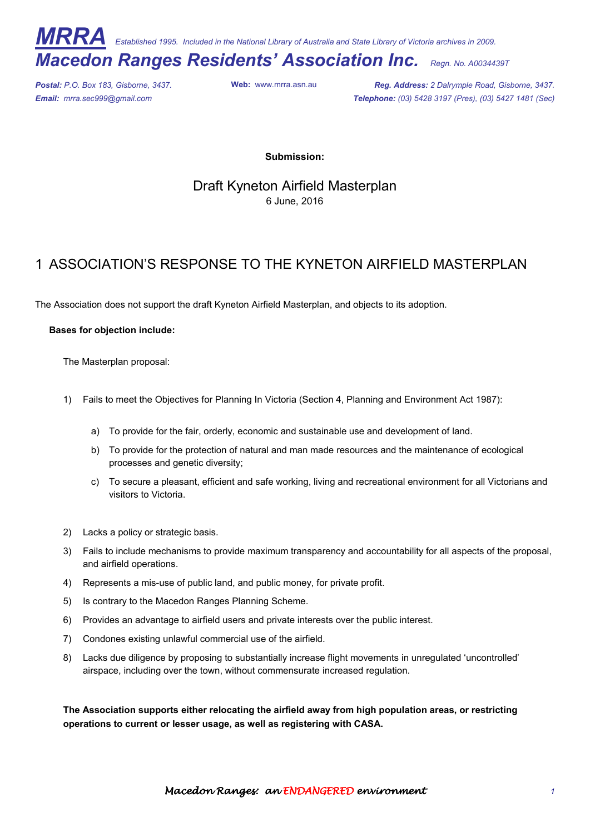**Marka** *Established 1995. Included in the National Library of Australia and State Library of Victoria archives in 2009.* 

# *Macedon Ranges Residents' Association Inc. Regn. No. A0034439T*

*Postal: P.O. Box 183, Gisborne, 3437.* **Web:** www.mrra.asn.au *Reg. Address: 2 Dalrymple Road, Gisborne, 3437. Email: mrra.sec999@gmail.com Telephone: (03) 5428 3197 (Pres), (03) 5427 1481 (Sec)*

**Submission:** 

Draft Kyneton Airfield Masterplan 6 June, 2016

## 1 ASSOCIATION'S RESPONSE TO THE KYNETON AIRFIELD MASTERPLAN

The Association does not support the draft Kyneton Airfield Masterplan, and objects to its adoption.

#### **Bases for objection include:**

The Masterplan proposal:

- 1) Fails to meet the Objectives for Planning In Victoria (Section 4, Planning and Environment Act 1987):
	- a) To provide for the fair, orderly, economic and sustainable use and development of land.
	- b) To provide for the protection of natural and man made resources and the maintenance of ecological processes and genetic diversity;
	- c) To secure a pleasant, efficient and safe working, living and recreational environment for all Victorians and visitors to Victoria.
- 2) Lacks a policy or strategic basis.
- 3) Fails to include mechanisms to provide maximum transparency and accountability for all aspects of the proposal, and airfield operations.
- 4) Represents a mis-use of public land, and public money, for private profit.
- 5) Is contrary to the Macedon Ranges Planning Scheme.
- 6) Provides an advantage to airfield users and private interests over the public interest.
- 7) Condones existing unlawful commercial use of the airfield.
- 8) Lacks due diligence by proposing to substantially increase flight movements in unregulated 'uncontrolled' airspace, including over the town, without commensurate increased regulation.

**The Association supports either relocating the airfield away from high population areas, or restricting operations to current or lesser usage, as well as registering with CASA.**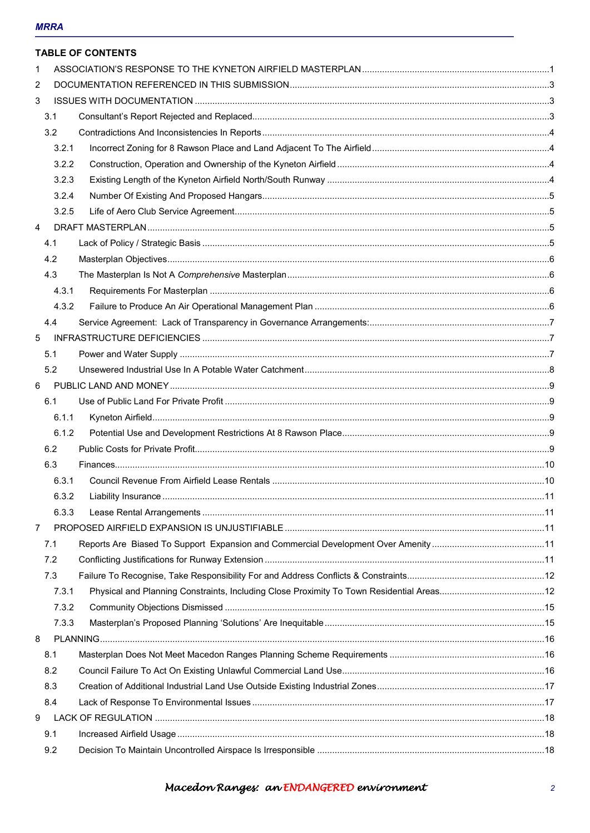## **MRRA**

|   |       | <b>TABLE OF CONTENTS</b> |  |
|---|-------|--------------------------|--|
| 1 |       |                          |  |
| 2 |       |                          |  |
| 3 |       |                          |  |
|   | 3.1   |                          |  |
|   | 3.2   |                          |  |
|   | 3.2.1 |                          |  |
|   | 3.2.2 |                          |  |
|   | 3.2.3 |                          |  |
|   | 3.2.4 |                          |  |
|   | 3.2.5 |                          |  |
| 4 |       |                          |  |
|   | 4.1   |                          |  |
|   | 4.2   |                          |  |
|   | 4.3   |                          |  |
|   | 4.3.1 |                          |  |
|   | 4.3.2 |                          |  |
|   | 4.4   |                          |  |
| 5 |       |                          |  |
|   | 5.1   |                          |  |
|   | 5.2   |                          |  |
| 6 |       |                          |  |
|   | 6.1   |                          |  |
|   | 6.1.1 |                          |  |
|   | 6.1.2 |                          |  |
|   | 6.2   |                          |  |
|   | 6.3   |                          |  |
|   | 6.3.1 |                          |  |
|   | 6.3.2 |                          |  |
|   | 6.3.3 |                          |  |
| 7 |       |                          |  |
|   | 7.1   |                          |  |
|   | 7.2   |                          |  |
|   | 7.3   |                          |  |
|   | 7.3.1 |                          |  |
|   | 7.3.2 |                          |  |
|   | 7.3.3 |                          |  |
| 8 |       |                          |  |
|   | 8.1   |                          |  |
|   | 8.2   |                          |  |
|   | 8.3   |                          |  |
|   | 8.4   |                          |  |
| 9 |       |                          |  |
|   | 9.1   |                          |  |
|   | 9.2   |                          |  |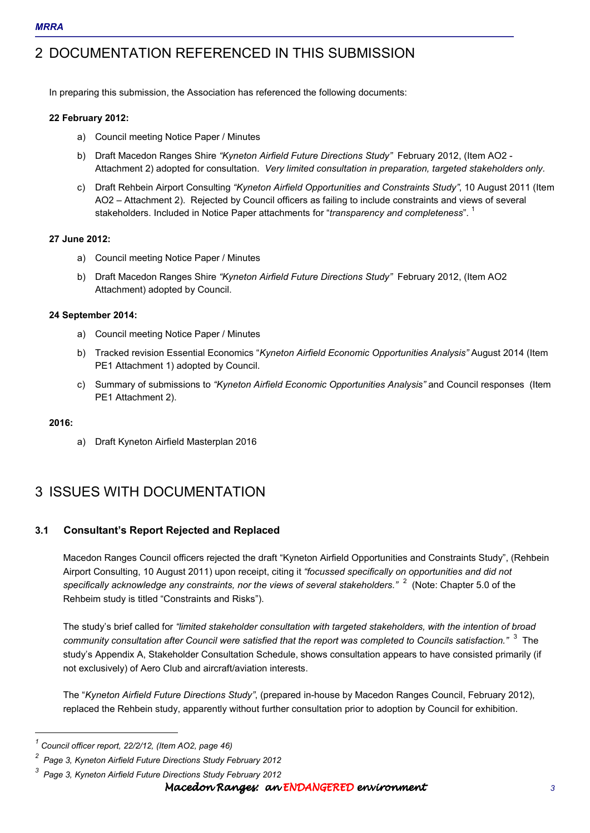## 2 DOCUMENTATION REFERENCED IN THIS SUBMISSION

In preparing this submission, the Association has referenced the following documents:

#### **22 February 2012:**

- a) Council meeting Notice Paper / Minutes
- b) Draft Macedon Ranges Shire *"Kyneton Airfield Future Directions Study"* February 2012, (Item AO2 Attachment 2) adopted for consultation. *Very limited consultation in preparation, targeted stakeholders only.*
- c) Draft Rehbein Airport Consulting *"Kyneton Airfield Opportunities and Constraints Study"*, 10 August 2011 (Item AO2 – Attachment 2). Rejected by Council officers as failing to include constraints and views of several stakeholders. Included in Notice Paper attachments for "*transparency and completeness*". <sup>1</sup>

#### **27 June 2012:**

- a) Council meeting Notice Paper / Minutes
- b) Draft Macedon Ranges Shire *"Kyneton Airfield Future Directions Study"* February 2012, (Item AO2 Attachment) adopted by Council.

#### **24 September 2014:**

- a) Council meeting Notice Paper / Minutes
- b) Tracked revision Essential Economics "*Kyneton Airfield Economic Opportunities Analysis"* August 2014 (Item PE1 Attachment 1) adopted by Council.
- c) Summary of submissions to *"Kyneton Airfield Economic Opportunities Analysis"* and Council responses (Item PE1 Attachment 2).

#### **2016:**

 $\overline{a}$ 

a) Draft Kyneton Airfield Masterplan 2016

## 3 ISSUES WITH DOCUMENTATION

## **3.1 Consultant's Report Rejected and Replaced**

Macedon Ranges Council officers rejected the draft "Kyneton Airfield Opportunities and Constraints Study", (Rehbein Airport Consulting, 10 August 2011) upon receipt, citing it *"focussed specifically on opportunities and did not specifically acknowledge any constraints, nor the views of several stakeholders."* 2 (Note: Chapter 5.0 of the Rehbeim study is titled "Constraints and Risks").

The study's brief called for *"limited stakeholder consultation with targeted stakeholders, with the intention of broad community consultation after Council were satisfied that the report was completed to Councils satisfaction."* 3 The study's Appendix A, Stakeholder Consultation Schedule, shows consultation appears to have consisted primarily (if not exclusively) of Aero Club and aircraft/aviation interests.

The "*Kyneton Airfield Future Directions Study"*, (prepared in-house by Macedon Ranges Council, February 2012), replaced the Rehbein study, apparently without further consultation prior to adoption by Council for exhibition.

*<sup>1</sup> Council officer report, 22/2/12, (Item AO2, page 46)* 

*<sup>2</sup> Page 3, Kyneton Airfield Future Directions Study February 2012* 

*<sup>3</sup> Page 3, Kyneton Airfield Future Directions Study February 2012*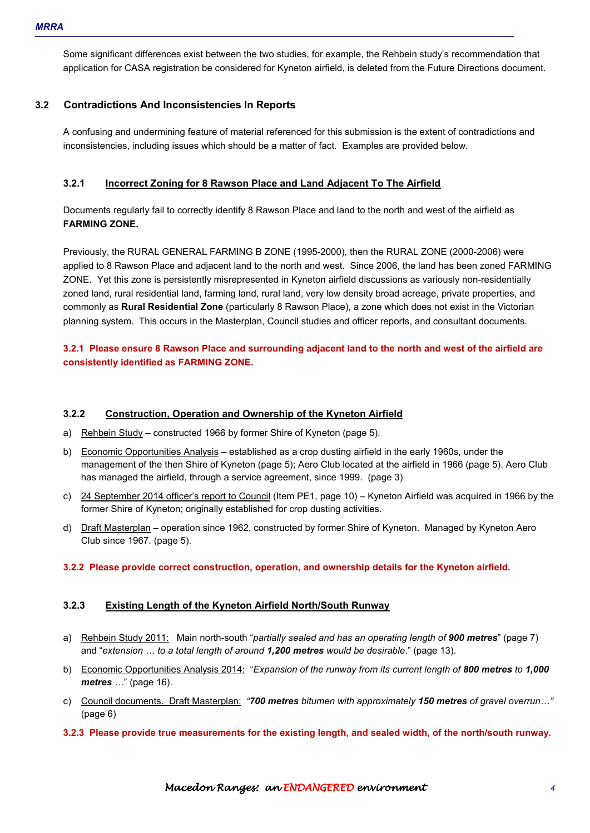Some significant differences exist between the two studies, for example, the Rehbein study's recommendation that application for CASA registration be considered for Kyneton airfield, is deleted from the Future Directions document.

## **3.2 Contradictions And Inconsistencies In Reports**

A confusing and undermining feature of material referenced for this submission is the extent of contradictions and inconsistencies, including issues which should be a matter of fact. Examples are provided below.

## **3.2.1 Incorrect Zoning for 8 Rawson Place and Land Adjacent To The Airfield**

Documents regularly fail to correctly identify 8 Rawson Place and land to the north and west of the airfield as **FARMING ZONE.** 

Previously, the RURAL GENERAL FARMING B ZONE (1995-2000), then the RURAL ZONE (2000-2006) were applied to 8 Rawson Place and adjacent land to the north and west. Since 2006, the land has been zoned FARMING ZONE. Yet this zone is persistently misrepresented in Kyneton airfield discussions as variously non-residentially zoned land, rural residential land, farming land, rural land, very low density broad acreage, private properties, and commonly as **Rural Residential Zone** (particularly 8 Rawson Place), a zone which does not exist in the Victorian planning system. This occurs in the Masterplan, Council studies and officer reports, and consultant documents.

## **3.2.1 Please ensure 8 Rawson Place and surrounding adjacent land to the north and west of the airfield are consistently identified as FARMING ZONE.**

#### **3.2.2 Construction, Operation and Ownership of the Kyneton Airfield**

- a) Rehbein Study constructed 1966 by former Shire of Kyneton (page 5).
- b) Economic Opportunities Analysis established as a crop dusting airfield in the early 1960s, under the management of the then Shire of Kyneton (page 5); Aero Club located at the airfield in 1966 (page 5). Aero Club has managed the airfield, through a service agreement, since 1999. (page 3)
- c) 24 September 2014 officer's report to Council (Item PE1, page 10) Kyneton Airfield was acquired in 1966 by the former Shire of Kyneton; originally established for crop dusting activities.
- d) Draft Masterplan operation since 1962, constructed by former Shire of Kyneton. Managed by Kyneton Aero Club since 1967. (page 5).

#### **3.2.2 Please provide correct construction, operation, and ownership details for the Kyneton airfield.**

#### **3.2.3 Existing Length of the Kyneton Airfield North/South Runway**

- a) Rehbein Study 2011: Main north-south "*partially sealed and has an operating length of 900 metres*" (page 7) and "*extension < to a total length of around 1,200 metres would be desirable*." (page 13).
- b) Economic Opportunities Analysis 2014: "*Expansion of the runway from its current length of 800 metres to 1,000 metres ...*" (page 16).
- c) Council documents. Draft Masterplan: *"700 metres bitumen with approximately 150 metres of gravel overrun<"*  (page 6)
- **3.2.3 Please provide true measurements for the existing length, and sealed width, of the north/south runway.**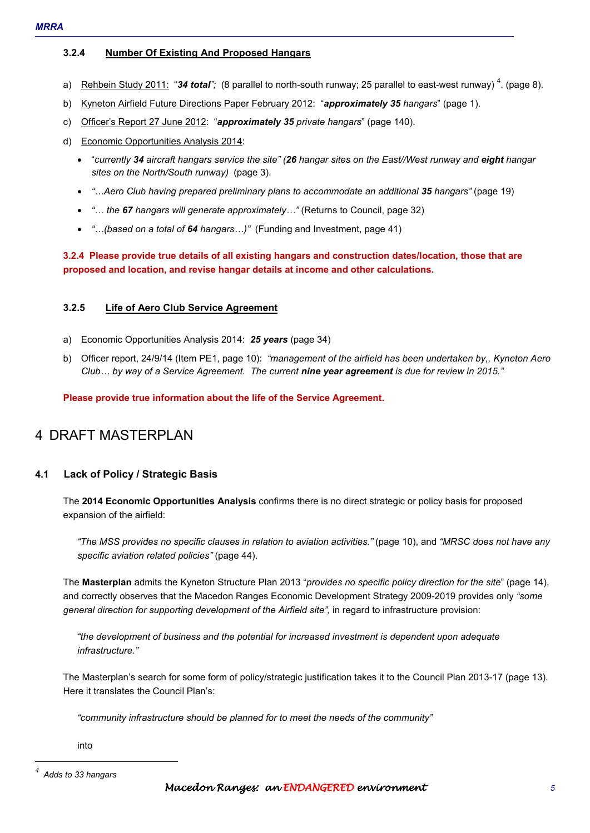## **3.2.4 Number Of Existing And Proposed Hangars**

- a) Rehbein Study 2011: "34 total"; (8 parallel to north-south runway; 25 parallel to east-west runway)<sup>4</sup>. (page 8).
- b) Kyneton Airfield Future Directions Paper February 2012: "*approximately 35 hangars*" (page 1).
- c) Officer's Report 27 June 2012: "*approximately 35 private hangars*" (page 140).
- d) Economic Opportunities Analysis 2014:
	- "*currently 34 aircraft hangars service the site" (26 hangar sites on the East//West runway and eight hangar sites on the North/South runway)* (page 3).
	- *"<Aero Club having prepared preliminary plans to accommodate an additional 35 hangars"* (page 19)
	- *"< the 67 hangars will generate approximately<"* (Returns to Council, page 32)
	- *"<(based on a total of 64 hangars<)"* (Funding and Investment, page 41)

## **3.2.4 Please provide true details of all existing hangars and construction dates/location, those that are proposed and location, and revise hangar details at income and other calculations.**

#### **3.2.5 Life of Aero Club Service Agreement**

- a) Economic Opportunities Analysis 2014: *25 years* (page 34)
- b) Officer report, 24/9/14 (Item PE1, page 10): *"management of the airfield has been undertaken by,, Kyneton Aero Club< by way of a Service Agreement. The current nine year agreement is due for review in 2015."*

**Please provide true information about the life of the Service Agreement.** 

## 4 DRAFT MASTERPLAN

## **4.1 Lack of Policy / Strategic Basis**

The **2014 Economic Opportunities Analysis** confirms there is no direct strategic or policy basis for proposed expansion of the airfield:

*"The MSS provides no specific clauses in relation to aviation activities."* (page 10), and *"MRSC does not have any specific aviation related policies"* (page 44).

The **Masterplan** admits the Kyneton Structure Plan 2013 "*provides no specific policy direction for the site*" (page 14), and correctly observes that the Macedon Ranges Economic Development Strategy 2009-2019 provides only *"some general direction for supporting development of the Airfield site",* in regard to infrastructure provision:

*"the development of business and the potential for increased investment is dependent upon adequate infrastructure."* 

The Masterplan's search for some form of policy/strategic justification takes it to the Council Plan 2013-17 (page 13). Here it translates the Council Plan's:

*"community infrastructure should be planned for to meet the needs of the community"* 

into

```
4
Adds to 33 hangars
```
1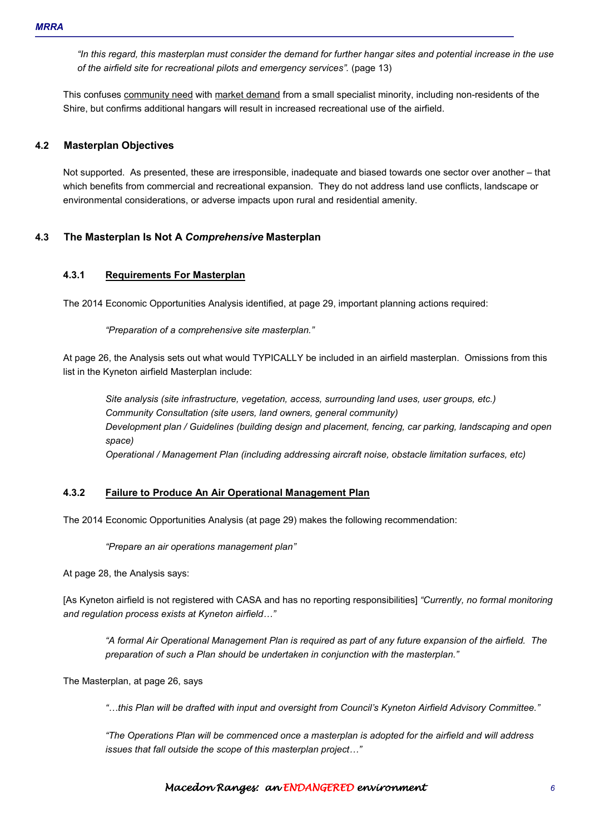*"In this regard, this masterplan must consider the demand for further hangar sites and potential increase in the use of the airfield site for recreational pilots and emergency services".* (page 13)

This confuses community need with market demand from a small specialist minority, including non-residents of the Shire, but confirms additional hangars will result in increased recreational use of the airfield.

## **4.2 Masterplan Objectives**

Not supported. As presented, these are irresponsible, inadequate and biased towards one sector over another – that which benefits from commercial and recreational expansion. They do not address land use conflicts, landscape or environmental considerations, or adverse impacts upon rural and residential amenity.

## **4.3 The Masterplan Is Not A** *Comprehensive* **Masterplan**

## **4.3.1 Requirements For Masterplan**

The 2014 Economic Opportunities Analysis identified, at page 29, important planning actions required:

*"Preparation of a comprehensive site masterplan."* 

At page 26, the Analysis sets out what would TYPICALLY be included in an airfield masterplan. Omissions from this list in the Kyneton airfield Masterplan include:

*Site analysis (site infrastructure, vegetation, access, surrounding land uses, user groups, etc.) Community Consultation (site users, land owners, general community) Development plan / Guidelines (building design and placement, fencing, car parking, landscaping and open space) Operational / Management Plan (including addressing aircraft noise, obstacle limitation surfaces, etc)*

### **4.3.2 Failure to Produce An Air Operational Management Plan**

The 2014 Economic Opportunities Analysis (at page 29) makes the following recommendation:

*"Prepare an air operations management plan"* 

At page 28, the Analysis says:

[As Kyneton airfield is not registered with CASA and has no reporting responsibilities] *"Currently, no formal monitoring and regulation process exists at Kyneton airfield<"*

*"A formal Air Operational Management Plan is required as part of any future expansion of the airfield. The preparation of such a Plan should be undertaken in conjunction with the masterplan."* 

The Masterplan, at page 26, says

*"<this Plan will be drafted with input and oversight from Council's Kyneton Airfield Advisory Committee."* 

*"The Operations Plan will be commenced once a masterplan is adopted for the airfield and will address issues that fall outside the scope of this masterplan project...*"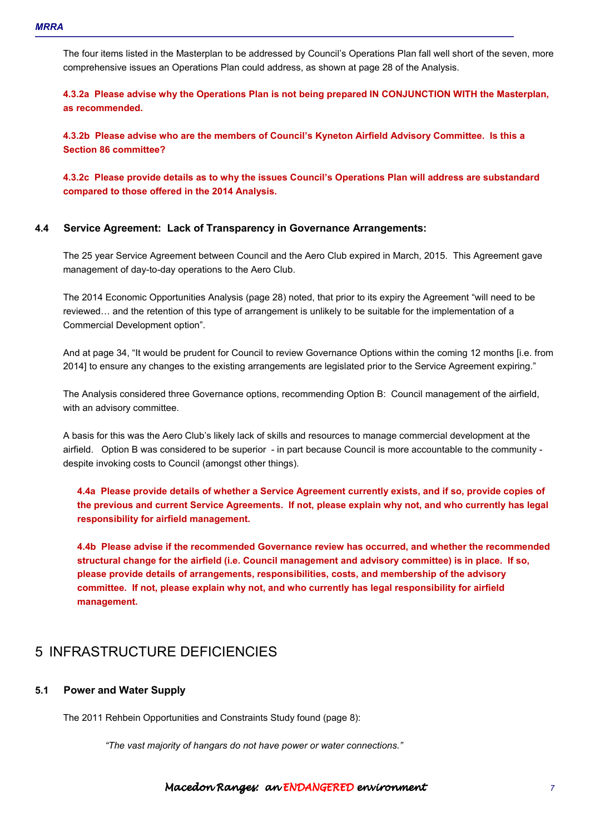The four items listed in the Masterplan to be addressed by Council's Operations Plan fall well short of the seven, more comprehensive issues an Operations Plan could address, as shown at page 28 of the Analysis.

**4.3.2a Please advise why the Operations Plan is not being prepared IN CONJUNCTION WITH the Masterplan, as recommended.** 

**4.3.2b Please advise who are the members of Council's Kyneton Airfield Advisory Committee. Is this a Section 86 committee?** 

**4.3.2c Please provide details as to why the issues Council's Operations Plan will address are substandard compared to those offered in the 2014 Analysis.** 

#### **4.4 Service Agreement: Lack of Transparency in Governance Arrangements:**

The 25 year Service Agreement between Council and the Aero Club expired in March, 2015. This Agreement gave management of day-to-day operations to the Aero Club.

The 2014 Economic Opportunities Analysis (page 28) noted, that prior to its expiry the Agreement "will need to be reviewed... and the retention of this type of arrangement is unlikely to be suitable for the implementation of a Commercial Development option".

And at page 34, "It would be prudent for Council to review Governance Options within the coming 12 months [i.e. from 2014] to ensure any changes to the existing arrangements are legislated prior to the Service Agreement expiring."

The Analysis considered three Governance options, recommending Option B: Council management of the airfield, with an advisory committee.

A basis for this was the Aero Club's likely lack of skills and resources to manage commercial development at the airfield. Option B was considered to be superior - in part because Council is more accountable to the community despite invoking costs to Council (amongst other things).

**4.4a Please provide details of whether a Service Agreement currently exists, and if so, provide copies of the previous and current Service Agreements. If not, please explain why not, and who currently has legal responsibility for airfield management.** 

**4.4b Please advise if the recommended Governance review has occurred, and whether the recommended structural change for the airfield (i.e. Council management and advisory committee) is in place. If so, please provide details of arrangements, responsibilities, costs, and membership of the advisory committee. If not, please explain why not, and who currently has legal responsibility for airfield management.** 

## 5 INFRASTRUCTURE DEFICIENCIES

#### **5.1 Power and Water Supply**

The 2011 Rehbein Opportunities and Constraints Study found (page 8):

*"The vast majority of hangars do not have power or water connections."*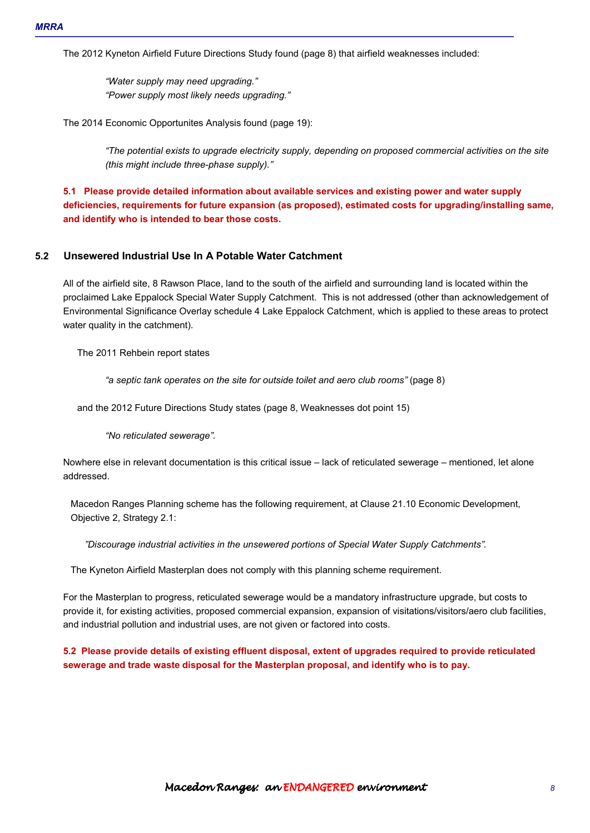The 2012 Kyneton Airfield Future Directions Study found (page 8) that airfield weaknesses included:

*"Water supply may need upgrading." "Power supply most likely needs upgrading."* 

The 2014 Economic Opportunites Analysis found (page 19):

*"The potential exists to upgrade electricity supply, depending on proposed commercial activities on the site (this might include three-phase supply)."* 

**5.1 Please provide detailed information about available services and existing power and water supply deficiencies, requirements for future expansion (as proposed), estimated costs for upgrading/installing same, and identify who is intended to bear those costs.** 

#### **5.2 Unsewered Industrial Use In A Potable Water Catchment**

All of the airfield site, 8 Rawson Place, land to the south of the airfield and surrounding land is located within the proclaimed Lake Eppalock Special Water Supply Catchment. This is not addressed (other than acknowledgement of Environmental Significance Overlay schedule 4 Lake Eppalock Catchment, which is applied to these areas to protect water quality in the catchment).

The 2011 Rehbein report states

*"a septic tank operates on the site for outside toilet and aero club rooms"* (page 8)

and the 2012 Future Directions Study states (page 8, Weaknesses dot point 15)

*"No reticulated sewerage".* 

Nowhere else in relevant documentation is this critical issue – lack of reticulated sewerage – mentioned, let alone addressed.

Macedon Ranges Planning scheme has the following requirement, at Clause 21.10 Economic Development, Objective 2, Strategy 2.1:

*"Discourage industrial activities in the unsewered portions of Special Water Supply Catchments".* 

The Kyneton Airfield Masterplan does not comply with this planning scheme requirement.

For the Masterplan to progress, reticulated sewerage would be a mandatory infrastructure upgrade, but costs to provide it, for existing activities, proposed commercial expansion, expansion of visitations/visitors/aero club facilities, and industrial pollution and industrial uses, are not given or factored into costs.

**5.2 Please provide details of existing effluent disposal, extent of upgrades required to provide reticulated sewerage and trade waste disposal for the Masterplan proposal, and identify who is to pay.**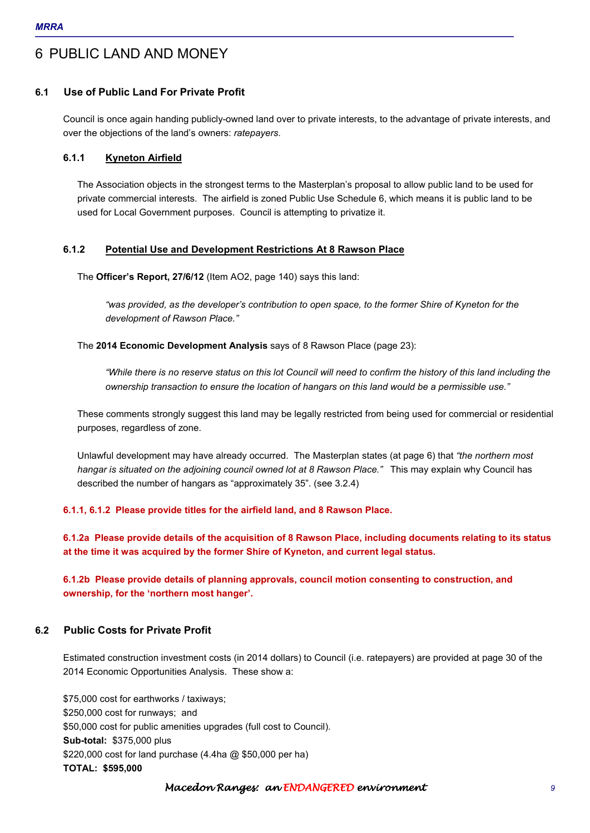## 6 PUBLIC LAND AND MONEY

## **6.1 Use of Public Land For Private Profit**

Council is once again handing publicly-owned land over to private interests, to the advantage of private interests, and over the objections of the land's owners: *ratepayers.* 

### **6.1.1 Kyneton Airfield**

The Association objects in the strongest terms to the Masterplan's proposal to allow public land to be used for private commercial interests. The airfield is zoned Public Use Schedule 6, which means it is public land to be used for Local Government purposes. Council is attempting to privatize it.

## **6.1.2 Potential Use and Development Restrictions At 8 Rawson Place**

The **Officer's Report, 27/6/12** (Item AO2, page 140) says this land:

*"was provided, as the developer's contribution to open space, to the former Shire of Kyneton for the development of Rawson Place."* 

The **2014 Economic Development Analysis** says of 8 Rawson Place (page 23):

*"While there is no reserve status on this lot Council will need to confirm the history of this land including the ownership transaction to ensure the location of hangars on this land would be a permissible use."* 

These comments strongly suggest this land may be legally restricted from being used for commercial or residential purposes, regardless of zone.

Unlawful development may have already occurred. The Masterplan states (at page 6) that *"the northern most hangar is situated on the adjoining council owned lot at 8 Rawson Place."* This may explain why Council has described the number of hangars as "approximately 35". (see 3.2.4)

## **6.1.1, 6.1.2 Please provide titles for the airfield land, and 8 Rawson Place.**

**6.1.2a Please provide details of the acquisition of 8 Rawson Place, including documents relating to its status at the time it was acquired by the former Shire of Kyneton, and current legal status.** 

**6.1.2b Please provide details of planning approvals, council motion consenting to construction, and ownership, for the 'northern most hanger'.** 

## **6.2 Public Costs for Private Profit**

Estimated construction investment costs (in 2014 dollars) to Council (i.e. ratepayers) are provided at page 30 of the 2014 Economic Opportunities Analysis. These show a:

\$75,000 cost for earthworks / taxiways; \$250,000 cost for runways; and \$50,000 cost for public amenities upgrades (full cost to Council). **Sub-total:** \$375,000 plus \$220,000 cost for land purchase (4.4ha @ \$50,000 per ha) **TOTAL: \$595,000**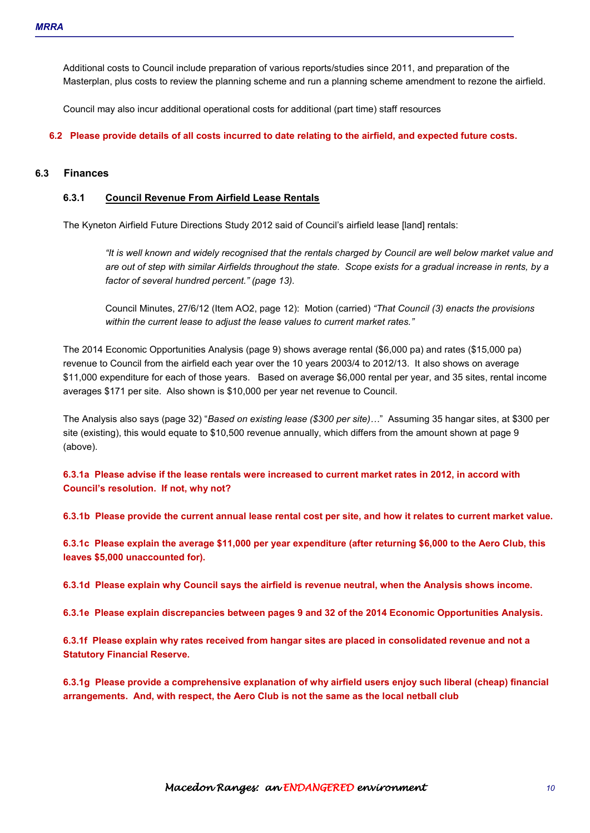Additional costs to Council include preparation of various reports/studies since 2011, and preparation of the Masterplan, plus costs to review the planning scheme and run a planning scheme amendment to rezone the airfield.

Council may also incur additional operational costs for additional (part time) staff resources

**6.2 Please provide details of all costs incurred to date relating to the airfield, and expected future costs.** 

#### **6.3 Finances**

#### **6.3.1 Council Revenue From Airfield Lease Rentals**

The Kyneton Airfield Future Directions Study 2012 said of Council's airfield lease [land] rentals:

*"It is well known and widely recognised that the rentals charged by Council are well below market value and are out of step with similar Airfields throughout the state. Scope exists for a gradual increase in rents, by a factor of several hundred percent." (page 13).* 

Council Minutes, 27/6/12 (Item AO2, page 12): Motion (carried) *"That Council (3) enacts the provisions within the current lease to adjust the lease values to current market rates."* 

The 2014 Economic Opportunities Analysis (page 9) shows average rental (\$6,000 pa) and rates (\$15,000 pa) revenue to Council from the airfield each year over the 10 years 2003/4 to 2012/13. It also shows on average \$11,000 expenditure for each of those years. Based on average \$6,000 rental per year, and 35 sites, rental income averages \$171 per site. Also shown is \$10,000 per year net revenue to Council.

The Analysis also says (page 32) "*Based on existing lease (\$300 per site)<*" Assuming 35 hangar sites, at \$300 per site (existing), this would equate to \$10,500 revenue annually, which differs from the amount shown at page 9 (above).

**6.3.1a Please advise if the lease rentals were increased to current market rates in 2012, in accord with Council's resolution. If not, why not?** 

**6.3.1b Please provide the current annual lease rental cost per site, and how it relates to current market value.** 

**6.3.1c Please explain the average \$11,000 per year expenditure (after returning \$6,000 to the Aero Club, this leaves \$5,000 unaccounted for).** 

**6.3.1d Please explain why Council says the airfield is revenue neutral, when the Analysis shows income.** 

**6.3.1e Please explain discrepancies between pages 9 and 32 of the 2014 Economic Opportunities Analysis.** 

**6.3.1f Please explain why rates received from hangar sites are placed in consolidated revenue and not a Statutory Financial Reserve.** 

**6.3.1g Please provide a comprehensive explanation of why airfield users enjoy such liberal (cheap) financial arrangements. And, with respect, the Aero Club is not the same as the local netball club**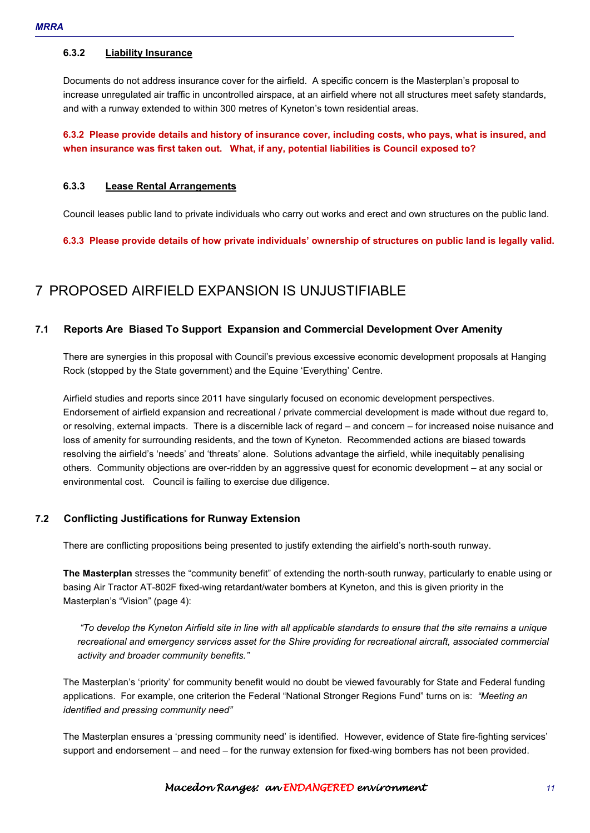#### **6.3.2 Liability Insurance**

Documents do not address insurance cover for the airfield. A specific concern is the Masterplan's proposal to increase unregulated air traffic in uncontrolled airspace, at an airfield where not all structures meet safety standards, and with a runway extended to within 300 metres of Kyneton's town residential areas.

## **6.3.2 Please provide details and history of insurance cover, including costs, who pays, what is insured, and when insurance was first taken out. What, if any, potential liabilities is Council exposed to?**

#### **6.3.3 Lease Rental Arrangements**

Council leases public land to private individuals who carry out works and erect and own structures on the public land.

**6.3.3 Please provide details of how private individuals' ownership of structures on public land is legally valid.** 

## 7 PROPOSED AIRFIELD EXPANSION IS UNJUSTIFIABLE

## **7.1 Reports Are Biased To Support Expansion and Commercial Development Over Amenity**

There are synergies in this proposal with Council's previous excessive economic development proposals at Hanging Rock (stopped by the State government) and the Equine 'Everything' Centre.

Airfield studies and reports since 2011 have singularly focused on economic development perspectives. Endorsement of airfield expansion and recreational / private commercial development is made without due regard to, or resolving, external impacts. There is a discernible lack of regard – and concern – for increased noise nuisance and loss of amenity for surrounding residents, and the town of Kyneton. Recommended actions are biased towards resolving the airfield's 'needs' and 'threats' alone. Solutions advantage the airfield, while inequitably penalising others. Community objections are over-ridden by an aggressive quest for economic development – at any social or environmental cost. Council is failing to exercise due diligence.

## **7.2 Conflicting Justifications for Runway Extension**

There are conflicting propositions being presented to justify extending the airfield's north-south runway.

**The Masterplan** stresses the "community benefit" of extending the north-south runway, particularly to enable using or basing Air Tractor AT-802F fixed-wing retardant/water bombers at Kyneton, and this is given priority in the Masterplan's "Vision" (page 4):

 *"To develop the Kyneton Airfield site in line with all applicable standards to ensure that the site remains a unique recreational and emergency services asset for the Shire providing for recreational aircraft, associated commercial activity and broader community benefits."* 

The Masterplan's 'priority' for community benefit would no doubt be viewed favourably for State and Federal funding applications. For example, one criterion the Federal "National Stronger Regions Fund" turns on is: *"Meeting an identified and pressing community need"* 

The Masterplan ensures a 'pressing community need' is identified. However, evidence of State fire-fighting services' support and endorsement – and need – for the runway extension for fixed-wing bombers has not been provided.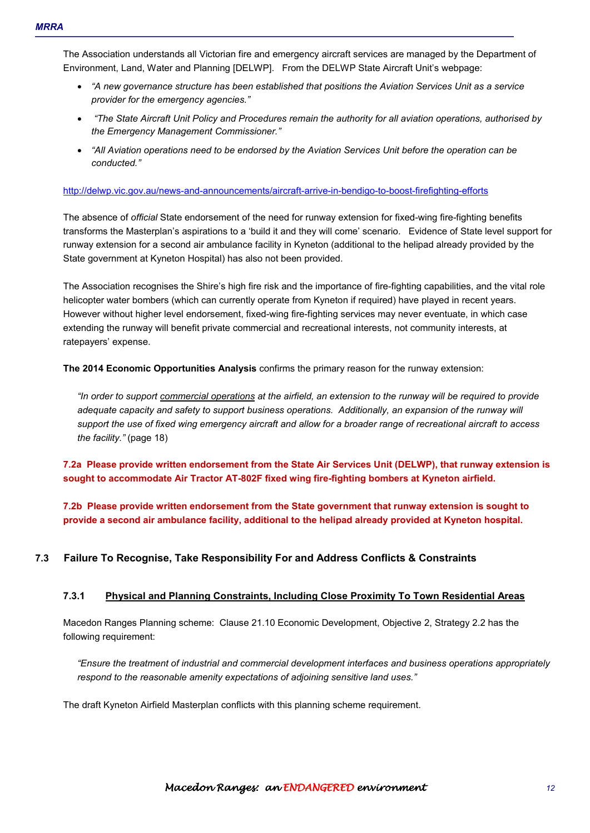The Association understands all Victorian fire and emergency aircraft services are managed by the Department of Environment, Land, Water and Planning [DELWP]. From the DELWP State Aircraft Unit's webpage:

- *"A new governance structure has been established that positions the Aviation Services Unit as a service provider for the emergency agencies."*
- • *"The State Aircraft Unit Policy and Procedures remain the authority for all aviation operations, authorised by the Emergency Management Commissioner."*
- *"All Aviation operations need to be endorsed by the Aviation Services Unit before the operation can be conducted."*

#### http://delwp.vic.gov.au/news-and-announcements/aircraft-arrive-in-bendigo-to-boost-firefighting-efforts

The absence of *official* State endorsement of the need for runway extension for fixed-wing fire-fighting benefits transforms the Masterplan's aspirations to a 'build it and they will come' scenario. Evidence of State level support for runway extension for a second air ambulance facility in Kyneton (additional to the helipad already provided by the State government at Kyneton Hospital) has also not been provided.

The Association recognises the Shire's high fire risk and the importance of fire-fighting capabilities, and the vital role helicopter water bombers (which can currently operate from Kyneton if required) have played in recent years. However without higher level endorsement, fixed-wing fire-fighting services may never eventuate, in which case extending the runway will benefit private commercial and recreational interests, not community interests, at ratepayers' expense.

**The 2014 Economic Opportunities Analysis** confirms the primary reason for the runway extension:

*"In order to support commercial operations at the airfield, an extension to the runway will be required to provide adequate capacity and safety to support business operations. Additionally, an expansion of the runway will support the use of fixed wing emergency aircraft and allow for a broader range of recreational aircraft to access the facility."* (page 18)

**7.2a Please provide written endorsement from the State Air Services Unit (DELWP), that runway extension is sought to accommodate Air Tractor AT-802F fixed wing fire-fighting bombers at Kyneton airfield.** 

**7.2b Please provide written endorsement from the State government that runway extension is sought to provide a second air ambulance facility, additional to the helipad already provided at Kyneton hospital.** 

## **7.3 Failure To Recognise, Take Responsibility For and Address Conflicts & Constraints**

#### **7.3.1 Physical and Planning Constraints, Including Close Proximity To Town Residential Areas**

Macedon Ranges Planning scheme: Clause 21.10 Economic Development, Objective 2, Strategy 2.2 has the following requirement:

*"Ensure the treatment of industrial and commercial development interfaces and business operations appropriately respond to the reasonable amenity expectations of adjoining sensitive land uses."* 

The draft Kyneton Airfield Masterplan conflicts with this planning scheme requirement.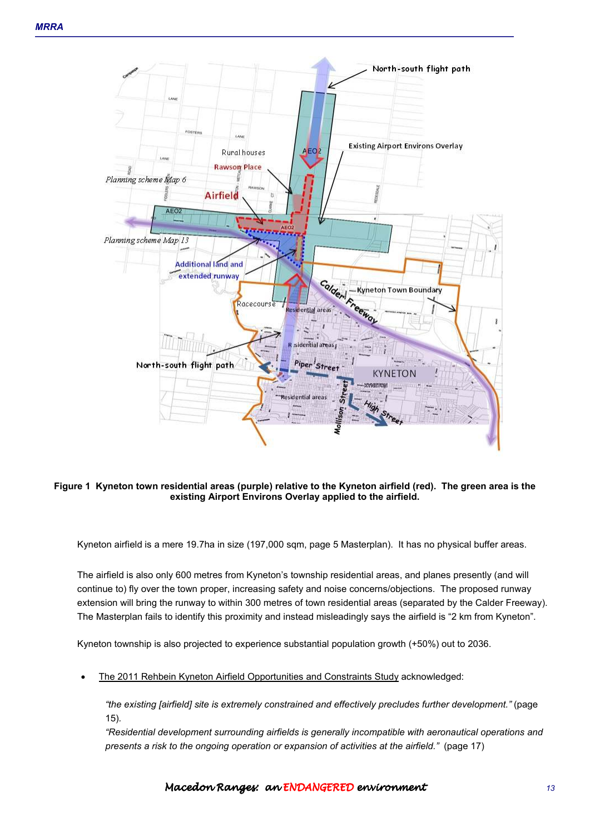

#### **Figure 1 Kyneton town residential areas (purple) relative to the Kyneton airfield (red). The green area is the existing Airport Environs Overlay applied to the airfield.**

Kyneton airfield is a mere 19.7ha in size (197,000 sqm, page 5 Masterplan). It has no physical buffer areas.

The airfield is also only 600 metres from Kyneton's township residential areas, and planes presently (and will continue to) fly over the town proper, increasing safety and noise concerns/objections. The proposed runway extension will bring the runway to within 300 metres of town residential areas (separated by the Calder Freeway). The Masterplan fails to identify this proximity and instead misleadingly says the airfield is "2 km from Kyneton".

Kyneton township is also projected to experience substantial population growth (+50%) out to 2036.

• The 2011 Rehbein Kyneton Airfield Opportunities and Constraints Study acknowledged:

*"the existing [airfield] site is extremely constrained and effectively precludes further development."* (page 15)*.* 

*"Residential development surrounding airfields is generally incompatible with aeronautical operations and presents a risk to the ongoing operation or expansion of activities at the airfield."* (page 17)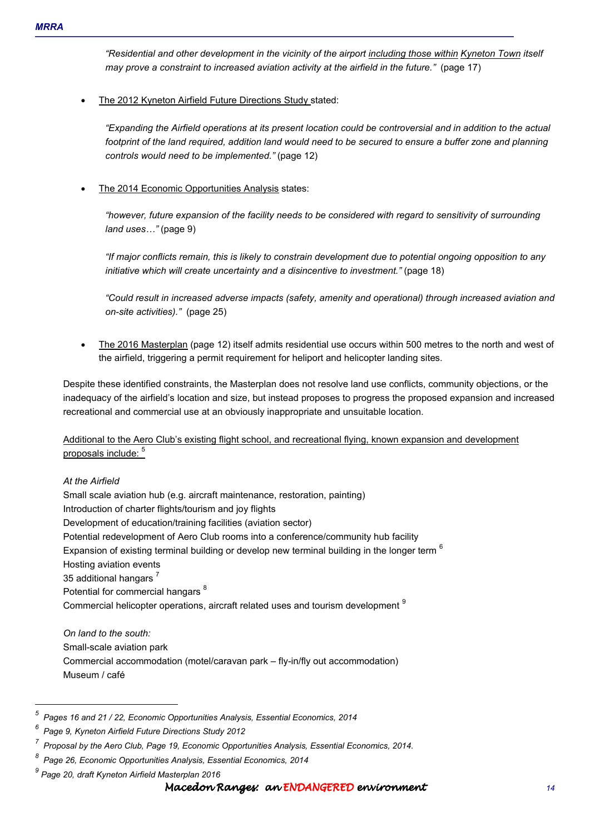*"Residential and other development in the vicinity of the airport including those within Kyneton Town itself may prove a constraint to increased aviation activity at the airfield in the future."* (page 17)

The 2012 Kyneton Airfield Future Directions Study stated:

*"Expanding the Airfield operations at its present location could be controversial and in addition to the actual footprint of the land required, addition land would need to be secured to ensure a buffer zone and planning controls would need to be implemented."* (page 12)

The 2014 Economic Opportunities Analysis states:

*"however, future expansion of the facility needs to be considered with regard to sensitivity of surrounding land uses...*" (page 9)

*"If major conflicts remain, this is likely to constrain development due to potential ongoing opposition to any initiative which will create uncertainty and a disincentive to investment."* (page 18)

*"Could result in increased adverse impacts (safety, amenity and operational) through increased aviation and on-site activities)."* (page 25)

• The 2016 Masterplan (page 12) itself admits residential use occurs within 500 metres to the north and west of the airfield, triggering a permit requirement for heliport and helicopter landing sites.

Despite these identified constraints, the Masterplan does not resolve land use conflicts, community objections, or the inadequacy of the airfield's location and size, but instead proposes to progress the proposed expansion and increased recreational and commercial use at an obviously inappropriate and unsuitable location.

Additional to the Aero Club's existing flight school, and recreational flying, known expansion and development proposals include:  $5$ 

## *At the Airfield*

 $\overline{a}$ 

Small scale aviation hub (e.g. aircraft maintenance, restoration, painting) Introduction of charter flights/tourism and joy flights Development of education/training facilities (aviation sector) Potential redevelopment of Aero Club rooms into a conference/community hub facility Expansion of existing terminal building or develop new terminal building in the longer term <sup>6</sup> Hosting aviation events 35 additional hangars<sup>7</sup> Potential for commercial hangars<sup>8</sup> Commercial helicopter operations, aircraft related uses and tourism development <sup>9</sup>

*On land to the south:*  Small-scale aviation park Commercial accommodation (motel/caravan park – fly-in/fly out accommodation) Museum / café

*<sup>5</sup> Pages 16 and 21 / 22, Economic Opportunities Analysis, Essential Economics, 2014* 

*<sup>6</sup> Page 9, Kyneton Airfield Future Directions Study 2012* 

*<sup>7</sup> Proposal by the Aero Club, Page 19, Economic Opportunities Analysis, Essential Economics, 2014.* 

*<sup>8</sup> Page 26, Economic Opportunities Analysis, Essential Economics, 2014* 

*<sup>9</sup> Page 20, draft Kyneton Airfield Masterplan 2016*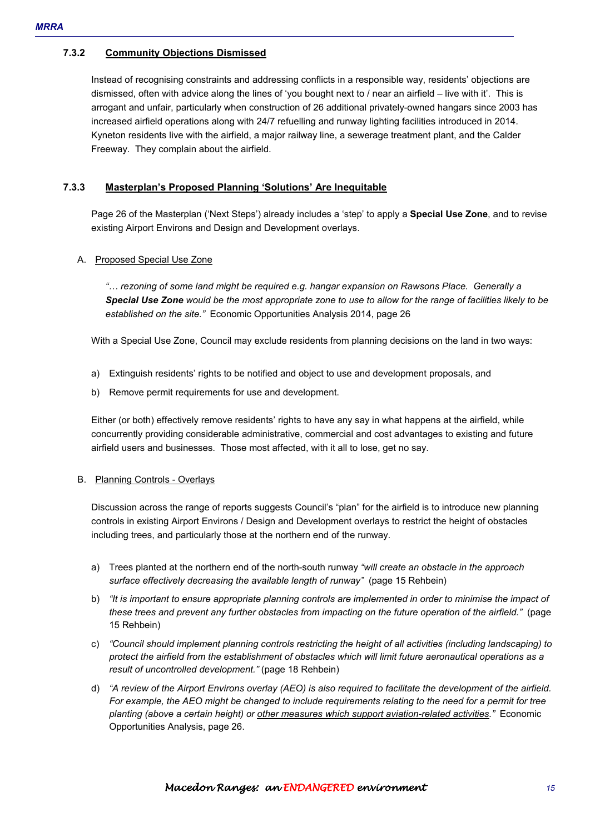### **7.3.2 Community Objections Dismissed**

Instead of recognising constraints and addressing conflicts in a responsible way, residents' objections are dismissed, often with advice along the lines of 'you bought next to / near an airfield – live with it'. This is arrogant and unfair, particularly when construction of 26 additional privately-owned hangars since 2003 has increased airfield operations along with 24/7 refuelling and runway lighting facilities introduced in 2014. Kyneton residents live with the airfield, a major railway line, a sewerage treatment plant, and the Calder Freeway. They complain about the airfield.

#### **7.3.3 Masterplan's Proposed Planning 'Solutions' Are Inequitable**

Page 26 of the Masterplan ('Next Steps') already includes a 'step' to apply a **Special Use Zone**, and to revise existing Airport Environs and Design and Development overlays.

#### A. Proposed Special Use Zone

*"< rezoning of some land might be required e.g. hangar expansion on Rawsons Place. Generally a Special Use Zone would be the most appropriate zone to use to allow for the range of facilities likely to be established on the site."* Economic Opportunities Analysis 2014, page 26

With a Special Use Zone, Council may exclude residents from planning decisions on the land in two ways:

- a) Extinguish residents' rights to be notified and object to use and development proposals, and
- b) Remove permit requirements for use and development.

Either (or both) effectively remove residents' rights to have any say in what happens at the airfield, while concurrently providing considerable administrative, commercial and cost advantages to existing and future airfield users and businesses. Those most affected, with it all to lose, get no say.

#### B. Planning Controls - Overlays

Discussion across the range of reports suggests Council's "plan" for the airfield is to introduce new planning controls in existing Airport Environs / Design and Development overlays to restrict the height of obstacles including trees, and particularly those at the northern end of the runway.

- a) Trees planted at the northern end of the north-south runway *"will create an obstacle in the approach surface effectively decreasing the available length of runway"* (page 15 Rehbein)
- b) *"It is important to ensure appropriate planning controls are implemented in order to minimise the impact of these trees and prevent any further obstacles from impacting on the future operation of the airfield."* (page 15 Rehbein)
- c) *"Council should implement planning controls restricting the height of all activities (including landscaping) to protect the airfield from the establishment of obstacles which will limit future aeronautical operations as a result of uncontrolled development."* (page 18 Rehbein)
- d) *"A review of the Airport Environs overlay (AEO) is also required to facilitate the development of the airfield. For example, the AEO might be changed to include requirements relating to the need for a permit for tree planting (above a certain height) or other measures which support aviation-related activities."* Economic Opportunities Analysis, page 26.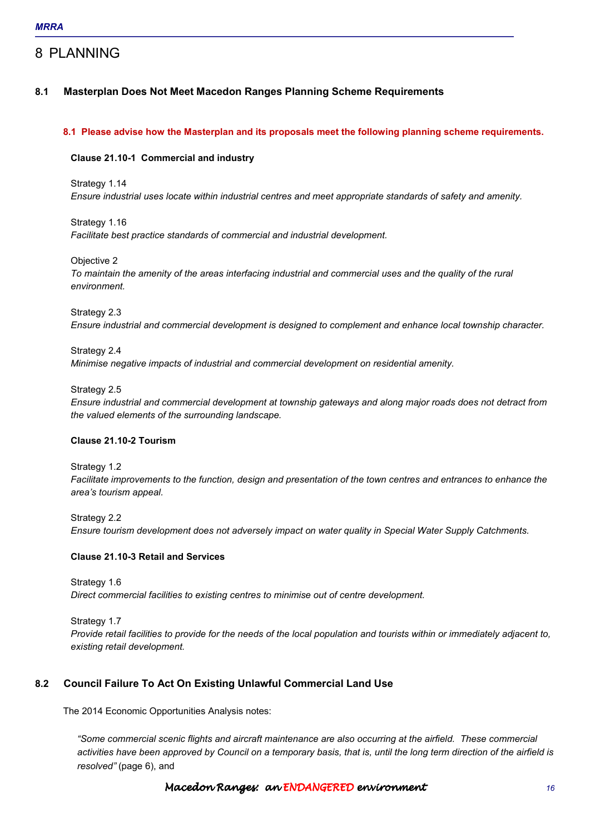## 8 PLANNING

## **8.1 Masterplan Does Not Meet Macedon Ranges Planning Scheme Requirements**

#### **8.1 Please advise how the Masterplan and its proposals meet the following planning scheme requirements.**

#### **Clause 21.10-1 Commercial and industry**

Strategy 1.14 *Ensure industrial uses locate within industrial centres and meet appropriate standards of safety and amenity.* 

Strategy 1.16 *Facilitate best practice standards of commercial and industrial development.* 

Objective 2 *To maintain the amenity of the areas interfacing industrial and commercial uses and the quality of the rural environment.* 

Strategy 2.3

*Ensure industrial and commercial development is designed to complement and enhance local township character.* 

Strategy 2.4

*Minimise negative impacts of industrial and commercial development on residential amenity.* 

Strategy 2.5

*Ensure industrial and commercial development at township gateways and along major roads does not detract from the valued elements of the surrounding landscape.* 

#### **Clause 21.10-2 Tourism**

Strategy 1.2

*Facilitate improvements to the function, design and presentation of the town centres and entrances to enhance the area's tourism appeal.* 

Strategy 2.2 *Ensure tourism development does not adversely impact on water quality in Special Water Supply Catchments.* 

## **Clause 21.10-3 Retail and Services**

Strategy 1.6 *Direct commercial facilities to existing centres to minimise out of centre development.* 

Strategy 1.7 *Provide retail facilities to provide for the needs of the local population and tourists within or immediately adjacent to, existing retail development.* 

## **8.2 Council Failure To Act On Existing Unlawful Commercial Land Use**

The 2014 Economic Opportunities Analysis notes:

*"Some commercial scenic flights and aircraft maintenance are also occurring at the airfield. These commercial activities have been approved by Council on a temporary basis, that is, until the long term direction of the airfield is resolved"* (page 6), and

**Macedon Ranges: an ENDANGERED environment** the theory of the state of the state of the state of the state of the state of the state of the state of the state of the state of the state of the state of the state of the stat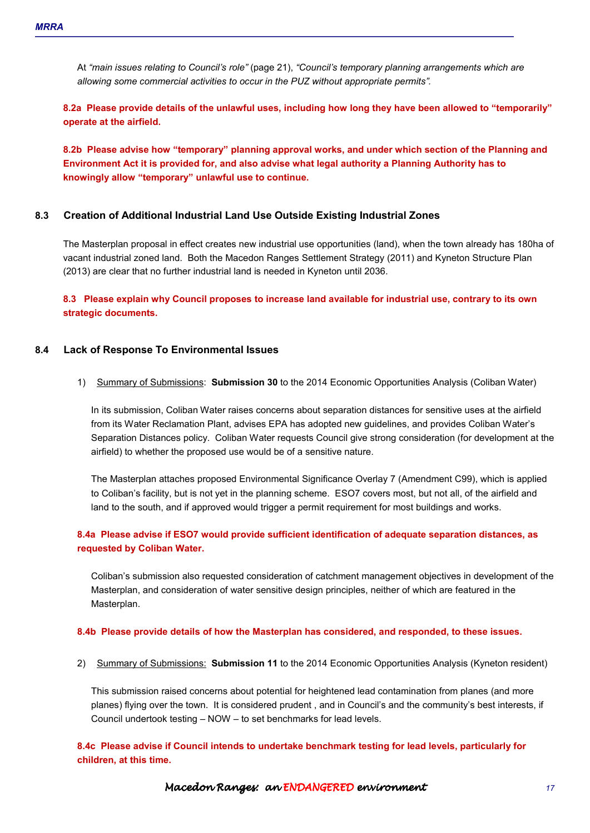At *"main issues relating to Council's role"* (page 21), *"Council's temporary planning arrangements which are allowing some commercial activities to occur in the PUZ without appropriate permits".* 

**8.2a Please provide details of the unlawful uses, including how long they have been allowed to "temporarily" operate at the airfield.** 

**8.2b Please advise how "temporary" planning approval works, and under which section of the Planning and Environment Act it is provided for, and also advise what legal authority a Planning Authority has to knowingly allow "temporary" unlawful use to continue.** 

#### **8.3 Creation of Additional Industrial Land Use Outside Existing Industrial Zones**

The Masterplan proposal in effect creates new industrial use opportunities (land), when the town already has 180ha of vacant industrial zoned land. Both the Macedon Ranges Settlement Strategy (2011) and Kyneton Structure Plan (2013) are clear that no further industrial land is needed in Kyneton until 2036.

**8.3 Please explain why Council proposes to increase land available for industrial use, contrary to its own strategic documents.** 

#### **8.4 Lack of Response To Environmental Issues**

1) Summary of Submissions: **Submission 30** to the 2014 Economic Opportunities Analysis (Coliban Water)

In its submission, Coliban Water raises concerns about separation distances for sensitive uses at the airfield from its Water Reclamation Plant, advises EPA has adopted new guidelines, and provides Coliban Water's Separation Distances policy. Coliban Water requests Council give strong consideration (for development at the airfield) to whether the proposed use would be of a sensitive nature.

The Masterplan attaches proposed Environmental Significance Overlay 7 (Amendment C99), which is applied to Coliban's facility, but is not yet in the planning scheme. ESO7 covers most, but not all, of the airfield and land to the south, and if approved would trigger a permit requirement for most buildings and works.

## **8.4a Please advise if ESO7 would provide sufficient identification of adequate separation distances, as requested by Coliban Water.**

Coliban's submission also requested consideration of catchment management objectives in development of the Masterplan, and consideration of water sensitive design principles, neither of which are featured in the Masterplan.

#### **8.4b Please provide details of how the Masterplan has considered, and responded, to these issues.**

2) Summary of Submissions: **Submission 11** to the 2014 Economic Opportunities Analysis (Kyneton resident)

This submission raised concerns about potential for heightened lead contamination from planes (and more planes) flying over the town. It is considered prudent , and in Council's and the community's best interests, if Council undertook testing – NOW – to set benchmarks for lead levels.

**8.4c Please advise if Council intends to undertake benchmark testing for lead levels, particularly for children, at this time.**